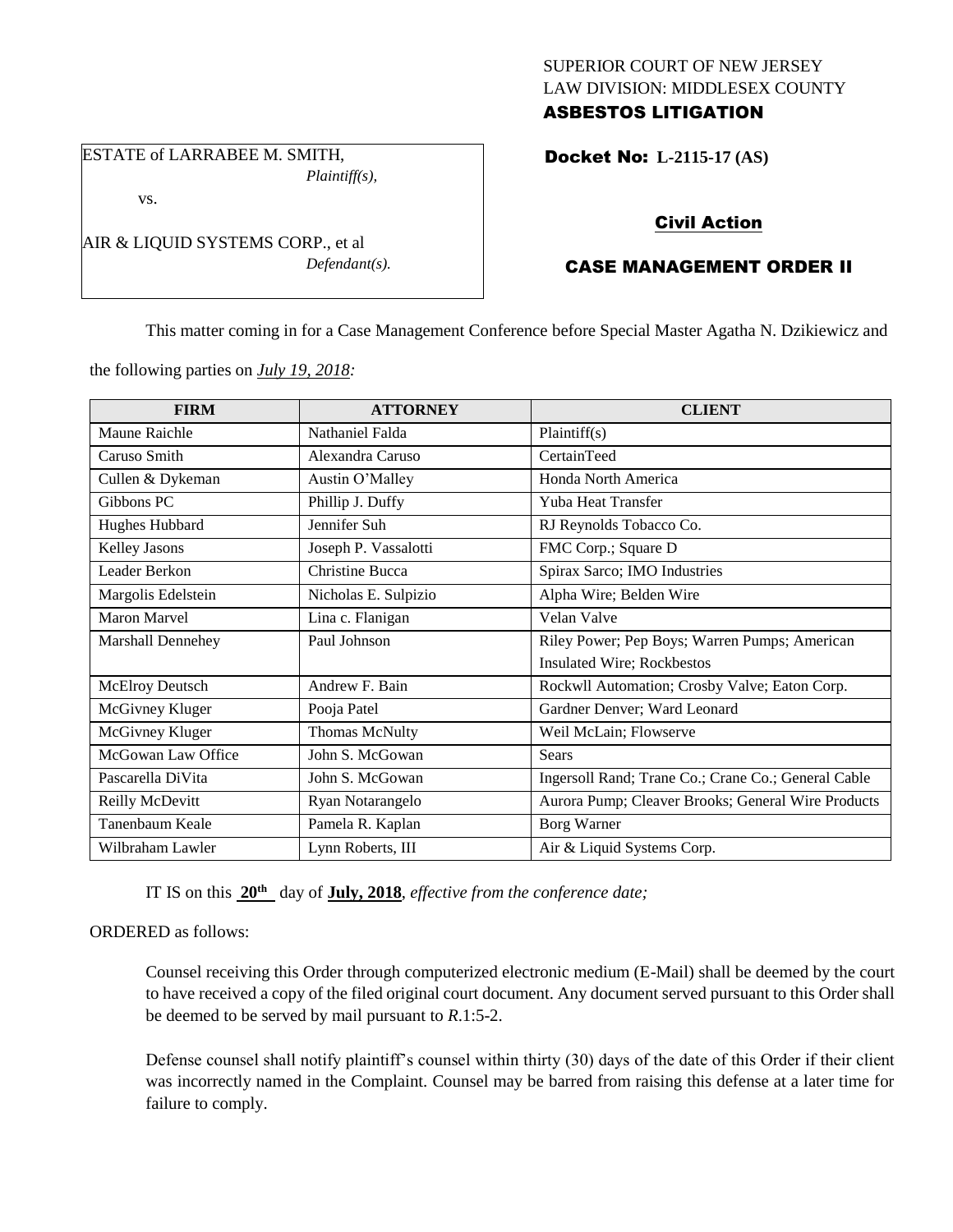## SUPERIOR COURT OF NEW JERSEY LAW DIVISION: MIDDLESEX COUNTY ASBESTOS LITIGATION

ESTATE of LARRABEE M. SMITH, *Plaintiff(s),*

vs.

AIR & LIQUID SYSTEMS CORP., et al

*Defendant(s).*

# Docket No: **L-2115-17 (AS)**

# Civil Action

# CASE MANAGEMENT ORDER II

This matter coming in for a Case Management Conference before Special Master Agatha N. Dzikiewicz and

the following parties on *July 19, 2018:*

| <b>FIRM</b>         | <b>ATTORNEY</b>      | <b>CLIENT</b>                                       |
|---------------------|----------------------|-----------------------------------------------------|
| Maune Raichle       | Nathaniel Falda      | Plaintiff(s)                                        |
| Caruso Smith        | Alexandra Caruso     | CertainTeed                                         |
| Cullen & Dykeman    | Austin O'Malley      | Honda North America                                 |
| Gibbons PC          | Phillip J. Duffy     | Yuba Heat Transfer                                  |
| Hughes Hubbard      | Jennifer Suh         | RJ Reynolds Tobacco Co.                             |
| Kelley Jasons       | Joseph P. Vassalotti | FMC Corp.; Square D                                 |
| Leader Berkon       | Christine Bucca      | Spirax Sarco; IMO Industries                        |
| Margolis Edelstein  | Nicholas E. Sulpizio | Alpha Wire; Belden Wire                             |
| <b>Maron Marvel</b> | Lina c. Flanigan     | Velan Valve                                         |
| Marshall Dennehey   | Paul Johnson         | Riley Power; Pep Boys; Warren Pumps; American       |
|                     |                      | Insulated Wire; Rockbestos                          |
| McElroy Deutsch     | Andrew F. Bain       | Rockwll Automation; Crosby Valve; Eaton Corp.       |
| McGivney Kluger     | Pooja Patel          | Gardner Denver; Ward Leonard                        |
| McGivney Kluger     | Thomas McNulty       | Weil McLain; Flowserve                              |
| McGowan Law Office  | John S. McGowan      | <b>Sears</b>                                        |
| Pascarella DiVita   | John S. McGowan      | Ingersoll Rand; Trane Co.; Crane Co.; General Cable |
| Reilly McDevitt     | Ryan Notarangelo     | Aurora Pump; Cleaver Brooks; General Wire Products  |
| Tanenbaum Keale     | Pamela R. Kaplan     | Borg Warner                                         |
| Wilbraham Lawler    | Lynn Roberts, III    | Air & Liquid Systems Corp.                          |

IT IS on this **20th** day of **July, 2018**, *effective from the conference date;*

## ORDERED as follows:

Counsel receiving this Order through computerized electronic medium (E-Mail) shall be deemed by the court to have received a copy of the filed original court document. Any document served pursuant to this Order shall be deemed to be served by mail pursuant to *R*.1:5-2.

Defense counsel shall notify plaintiff's counsel within thirty (30) days of the date of this Order if their client was incorrectly named in the Complaint. Counsel may be barred from raising this defense at a later time for failure to comply.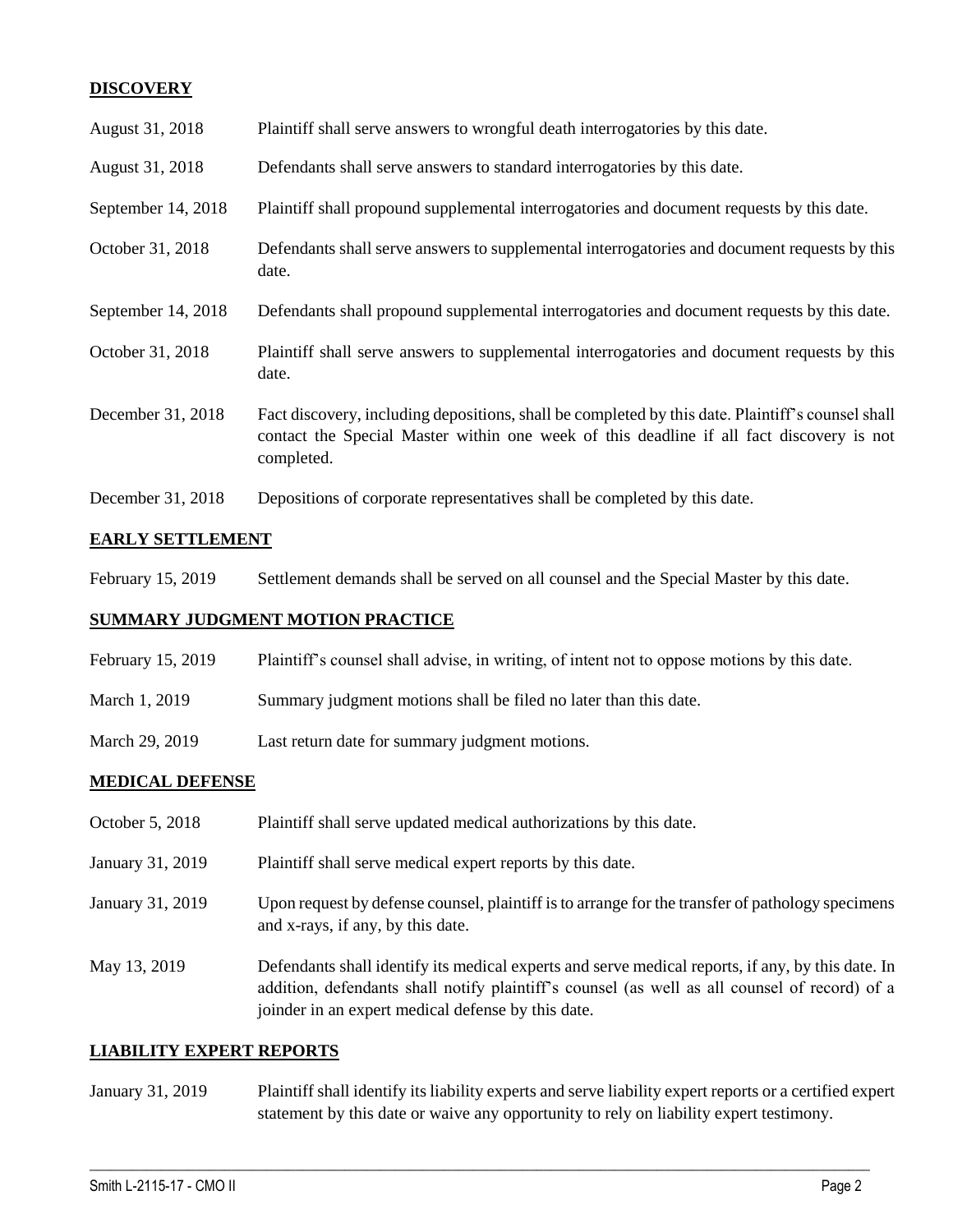## **DISCOVERY**

| August 31, 2018    | Plaintiff shall serve answers to wrongful death interrogatories by this date.                                                                                                                               |
|--------------------|-------------------------------------------------------------------------------------------------------------------------------------------------------------------------------------------------------------|
| August 31, 2018    | Defendants shall serve answers to standard interrogatories by this date.                                                                                                                                    |
| September 14, 2018 | Plaintiff shall propound supplemental interrogatories and document requests by this date.                                                                                                                   |
| October 31, 2018   | Defendants shall serve answers to supplemental interrogatories and document requests by this<br>date.                                                                                                       |
| September 14, 2018 | Defendants shall propound supplemental interrogatories and document requests by this date.                                                                                                                  |
| October 31, 2018   | Plaintiff shall serve answers to supplemental interrogatories and document requests by this<br>date.                                                                                                        |
| December 31, 2018  | Fact discovery, including depositions, shall be completed by this date. Plaintiff's counsel shall<br>contact the Special Master within one week of this deadline if all fact discovery is not<br>completed. |
| December 31, 2018  | Depositions of corporate representatives shall be completed by this date.                                                                                                                                   |

## **EARLY SETTLEMENT**

February 15, 2019 Settlement demands shall be served on all counsel and the Special Master by this date.

#### **SUMMARY JUDGMENT MOTION PRACTICE**

- February 15, 2019 Plaintiff's counsel shall advise, in writing, of intent not to oppose motions by this date.
- March 1, 2019 Summary judgment motions shall be filed no later than this date.
- March 29, 2019 Last return date for summary judgment motions.

#### **MEDICAL DEFENSE**

| October 5, 2018  | Plaintiff shall serve updated medical authorizations by this date.                                                                                                                                                                                       |
|------------------|----------------------------------------------------------------------------------------------------------------------------------------------------------------------------------------------------------------------------------------------------------|
| January 31, 2019 | Plaintiff shall serve medical expert reports by this date.                                                                                                                                                                                               |
| January 31, 2019 | Upon request by defense counsel, plaintiff is to arrange for the transfer of pathology specimens<br>and x-rays, if any, by this date.                                                                                                                    |
| May 13, 2019     | Defendants shall identify its medical experts and serve medical reports, if any, by this date. In<br>addition, defendants shall notify plaintiff's counsel (as well as all counsel of record) of a<br>joinder in an expert medical defense by this date. |

#### **LIABILITY EXPERT REPORTS**

January 31, 2019 Plaintiff shall identify its liability experts and serve liability expert reports or a certified expert statement by this date or waive any opportunity to rely on liability expert testimony.

 $\_$  ,  $\_$  ,  $\_$  ,  $\_$  ,  $\_$  ,  $\_$  ,  $\_$  ,  $\_$  ,  $\_$  ,  $\_$  ,  $\_$  ,  $\_$  ,  $\_$  ,  $\_$  ,  $\_$  ,  $\_$  ,  $\_$  ,  $\_$  ,  $\_$  ,  $\_$  ,  $\_$  ,  $\_$  ,  $\_$  ,  $\_$  ,  $\_$  ,  $\_$  ,  $\_$  ,  $\_$  ,  $\_$  ,  $\_$  ,  $\_$  ,  $\_$  ,  $\_$  ,  $\_$  ,  $\_$  ,  $\_$  ,  $\_$  ,